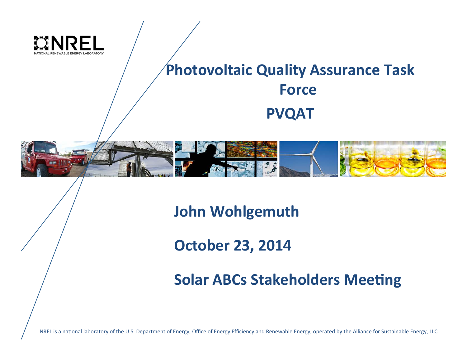

#### **Photovoltaic Quality Assurance Task Force PVQAT**



**John Wohlgemuth** 

**October 23, 2014** 

**Solar ABCs Stakeholders Meeting** 

NREL is a national laboratory of the U.S. Department of Energy, Office of Energy Efficiency and Renewable Energy, operated by the Alliance for Sustainable Energy, LLC.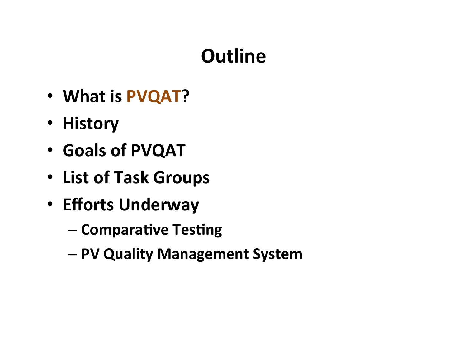### **Outline**

- What is PVQAT?
- **History**
- **Goals of PVQAT**
- **List of Task Groups**
- **Efforts Underway** 
	- $-$  Comparative Testing
	- **PV Quality Management System**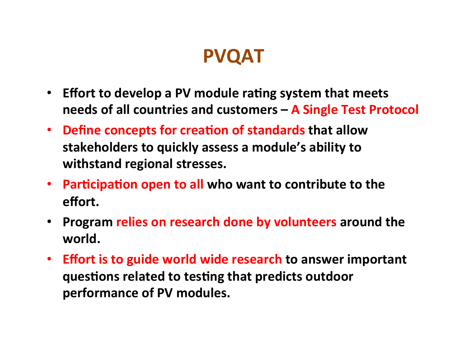### **PVQAT**

- Effort to develop a PV module rating system that meets needs of all countries and customers - A Single Test Protocol
- Define concepts for creation of standards that allow stakeholders to quickly assess a module's ability to withstand regional stresses.
- Participation open to all who want to contribute to the **effort.**
- **Program relies on research done by volunteers around the** world.
- Effort is to guide world wide research to answer important **questions related to testing that predicts outdoor** performance of PV modules.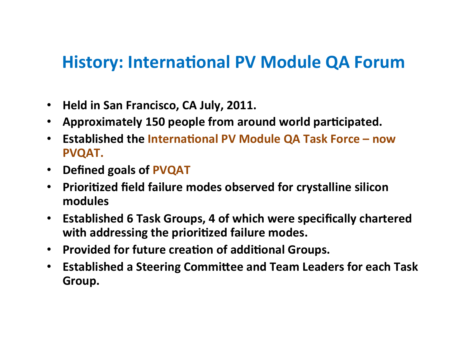#### **History: International PV Module QA Forum**

- Held in San Francisco, CA July, 2011.
- Approximately 150 people from around world participated.
- Established the International PV Module QA Task Force now **PVQAT.**
- **Defined goals of PVQAT**
- **Prioritized field failure modes observed for crystalline silicon modules**
- **Established 6 Task Groups, 4 of which were specifically chartered** with addressing the prioritized failure modes.
- **Provided for future creation of additional Groups.**
- **Established a Steering Committee and Team Leaders for each Task Group.**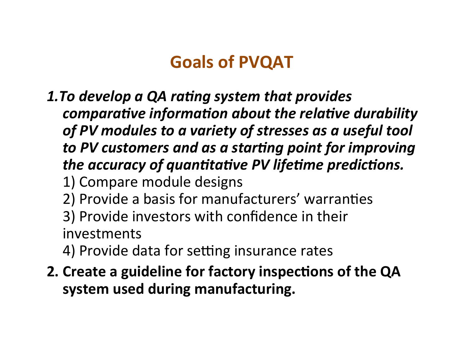#### **Goals of PVQAT**

- **1.To develop a QA rating system that provides** *comparative information about the relative durability* of PV modules to a variety of stresses as a useful tool to PV customers and as a starting point for improving *the accuracy of quantitative PV lifetime predictions.* 
	- 1) Compare module designs
	- 2) Provide a basis for manufacturers' warranties
	- 3) Provide investors with confidence in their investments
	- 4) Provide data for setting insurance rates
- **2. Create a guideline for factory inspections of the QA** system used during manufacturing.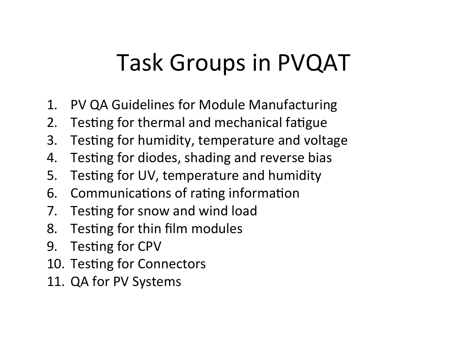## Task Groups in PVQAT

- 1. PV QA Guidelines for Module Manufacturing
- 2. Testing for thermal and mechanical fatigue
- 3. Testing for humidity, temperature and voltage
- 4. Testing for diodes, shading and reverse bias
- 5. Testing for UV, temperature and humidity
- 6. Communications of rating information
- 7. Testing for snow and wind load
- 8. Testing for thin film modules
- 9. Testing for CPV
- 10. Testing for Connectors
- 11. QA for PV Systems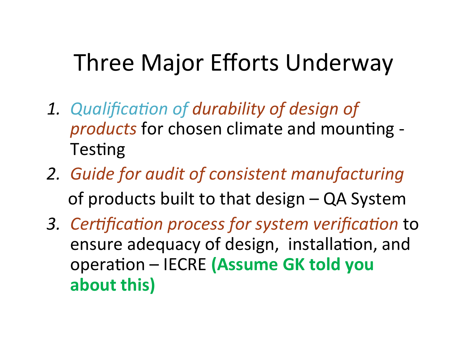## Three Major Efforts Underway

- 1. Qualification of durability of design of *products* for chosen climate and mounting -Testing
- 2. *Guide for audit of consistent manufacturing* of products built to that design – QA System
- 3. Certification process for system verification to ensure adequacy of design, installation, and operation – IECRE (Assume GK told you about this)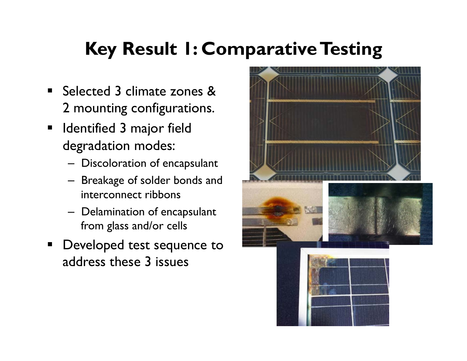### **Key Result 1: Comparative Testing**

- Selected 3 climate zones & 2 mounting configurations.
- **■** Identified 3 major field degradation modes:
	- Discoloration of encapsulant
	- Breakage of solder bonds and interconnect ribbons
	- Delamination of encapsulant from glass and/or cells
- Developed test sequence to address these 3 issues

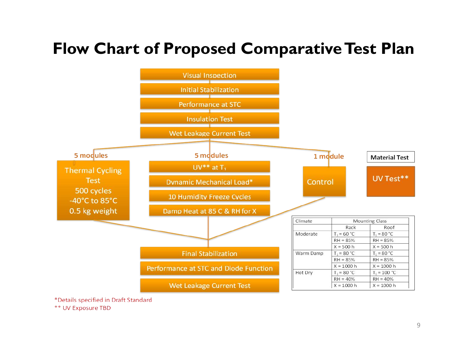#### **Flow Chart of Proposed Comparative Test Plan**



\*Details specified in Draft Standard

\*\* UV Exposure TBD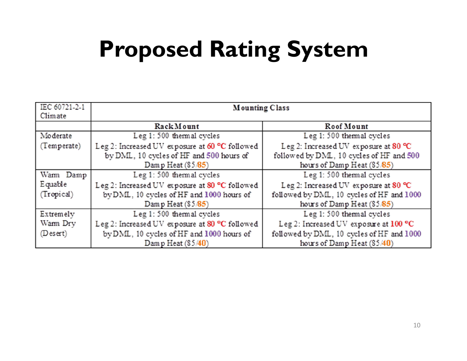## **Proposed Rating System**

| IEC 60721-2-1<br>Climate | <b>Mounting Class</b>                          |                                           |
|--------------------------|------------------------------------------------|-------------------------------------------|
|                          | RackMount                                      | Roof Mount                                |
| Moderate                 | Leg 1: 500 thermal cycles                      | Leg 1: 500 thermal cycles                 |
| (Temperate)              | Leg 2: Increased UV exposure at 60 °C followed | Leg 2: Increased UV exposure at 80 °C     |
|                          | by DML, 10 cycles of HF and 500 hours of       | followed by DML, 10 cycles of HF and 500  |
|                          | Damp Heat $(85/85)$                            | hours of Damp Heat $(85/85)$              |
| Warm Damp                | Leg 1: 500 thermal cycles                      | Leg 1: 500 thermal cycles                 |
| Equable                  | Leg 2: Increased UV exposure at 80 °C followed | Leg 2: Increased UV exposure at 80 °C     |
| (Tropical)               | by DML, 10 cycles of HF and 1000 hours of      | followed by DML, 10 cycles of HF and 1000 |
|                          | Damp Heat $(85/85)$                            | hours of Damp Heat (85/85)                |
| Extremely                | Leg 1: 500 thermal cycles                      | Leg 1: 500 thermal cycles                 |
| Warm Dry                 | Leg 2: Increased UV exposure at 80 °C followed | Leg 2: Increased UV exposure at 100 °C    |
| (Desert)                 | by DML, 10 cycles of HF and 1000 hours of      | followed by DML, 10 cycles of HF and 1000 |
|                          | Damp Heat (85/40)                              | hours of Damp Heat $(85/40)$              |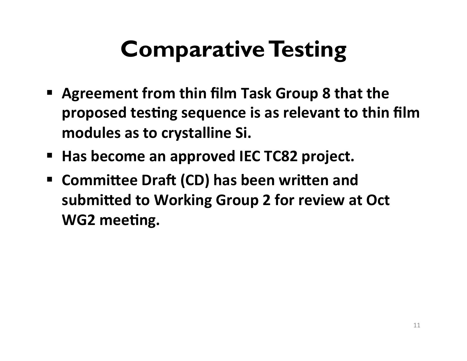# **Comparative Testing**

- **Exagrement from thin film Task Group 8 that the proposed testing sequence is as relevant to thin film** modules as to crystalline Si.
- Has become an approved IEC TC82 project.
- **E** Committee Draft (CD) has been written and submitted to Working Group 2 for review at Oct WG2 meeting.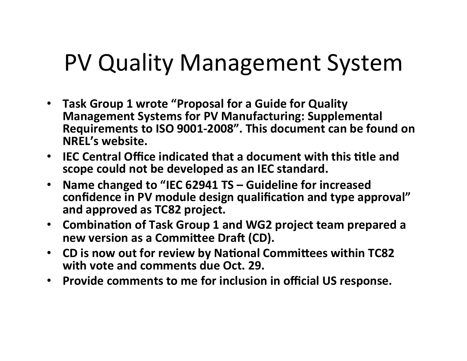## PV Quality Management System

- Task Group 1 wrote "Proposal for a Guide for Quality **Management Systems for PV Manufacturing: Supplemental** Requirements to ISO 9001-2008". This document can be found on **NREL's website.**
- IEC Central Office indicated that a document with this title and scope could not be developed as an IEC standard.
- Name changed to "IEC 62941 TS Guideline for increased confidence in PV module design qualification and type approval" and approved as TC82 project.
- Combination of Task Group 1 and WG2 project team prepared a **new version as a Committee Draft (CD).**
- CD is now out for review by National Committees within TC82 **with vote and comments due Oct. 29.**
- **Provide comments to me for inclusion in official US response.**